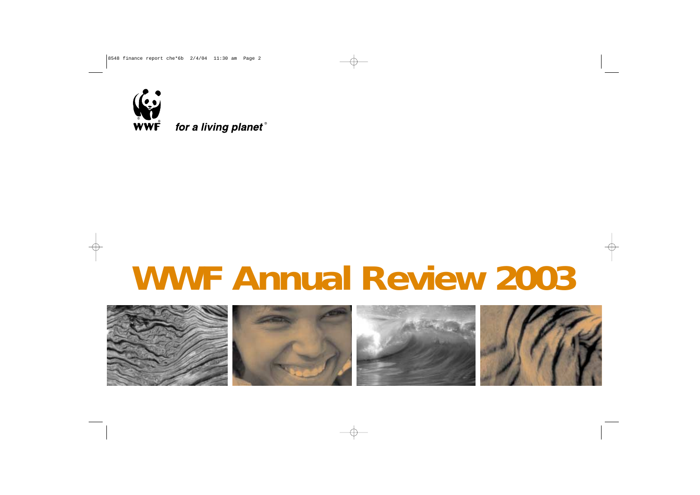

for a living planet®

# **WWF Annual Review 2003**

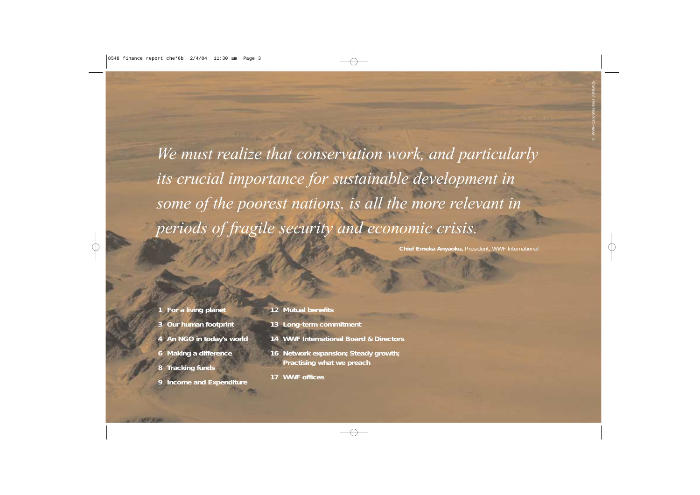*We must realize that conservation work, and particularly its crucial importance for sustainable development in some of the poorest nations, is all the more relevant in periods of fragile security and economic crisis.* 

*Chief Emeka Anyaoku, President, WWF International*

- **1** *For a living planet*
- **3** *Our human footprint*
- **4** *An NGO in today's world*
- **6** *Making a difference*
- **8** *Tracking funds*
- **9** *Income and Expenditure*
- **12** *Mutual benefits*
- **13** *Long-term commitment*
- **14** *WWF International Board & Directors*
- **16** *Network expansion; Steady growth; Practising what we preach*
- **17** *WWF offices*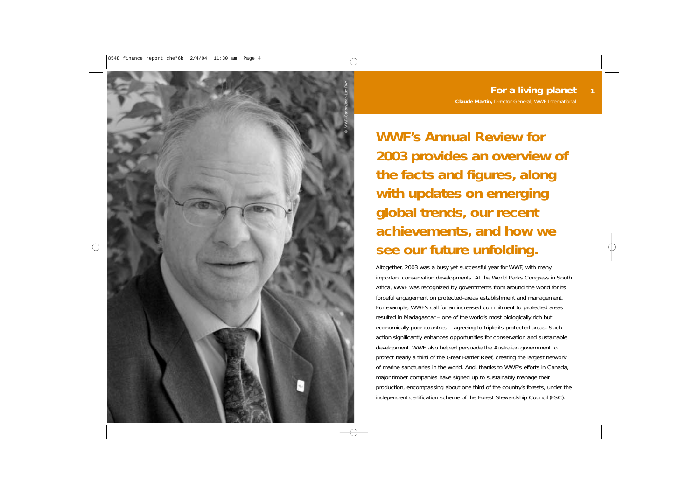

**WWF's Annual Review for 2003 provides an overview of the facts and figures, along with updates on emerging global trends, our recent achievements, and how we see our future unfolding.**

Altogether, 2003 was a busy yet successful year for WWF, with many important conservation developments. At the World Parks Congress in South Africa, WWF was recognized by governments from around the world for its forceful engagement on protected-areas establishment and management. For example, WWF's call for an increased commitment to protected areas resulted in Madagascar – one of the world's most biologically rich but economically poor countries – agreeing to triple its protected areas. Such action significantly enhances opportunities for conservation and sustainable development. WWF also helped persuade the Australian government to protect nearly a third of the Great Barrier Reef, creating the largest network of marine sanctuaries in the world. And, thanks to WWF's efforts in Canada, major timber companies have signed up to sustainably manage their production, encompassing about one third of the country's forests, under the independent certification scheme of the Forest Stewardship Council (FSC).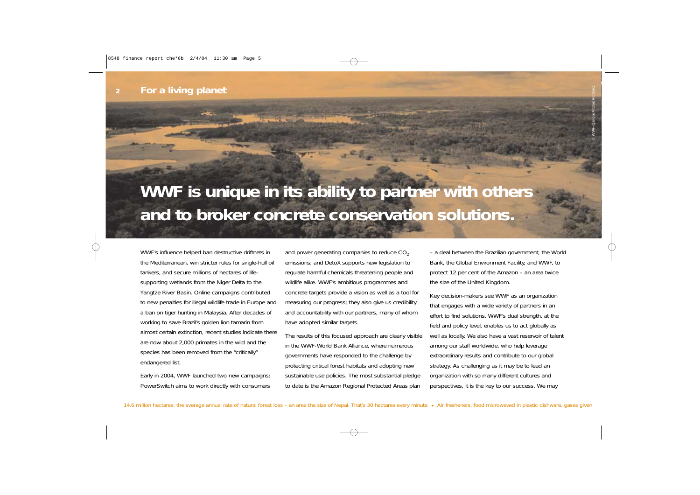## **WWF is unique in its ability to partner with others and to broker concrete conservation solutions.**

WWF's influence helped ban destructive driftnets in the Mediterranean, win stricter rules for single-hull oil tankers, and secure millions of hectares of lifesupporting wetlands from the Niger Delta to the Yangtze River Basin. Online campaigns contributed to new penalties for illegal wildlife trade in Europe and a ban on tiger hunting in Malaysia. After decades of working to save Brazil's golden lion tamarin from almost certain extinction, recent studies indicate there are now about 2,000 primates in the wild and the species has been removed from the "critically" endangered list.

Early in 2004, WWF launched two new campaigns: PowerSwitch aims to work directly with consumers and power generating companies to reduce  $CO<sub>2</sub>$ emissions; and DetoX supports new legislation to regulate harmful chemicals threatening people and wildlife alike. WWF's ambitious programmes and concrete targets provide a vision as well as a tool for measuring our progress; they also give us credibility and accountability with our partners, many of whom have adopted similar targets.

The results of this focused approach are clearly visible in the WWF-World Bank Alliance, where numerous governments have responded to the challenge by protecting critical forest habitats and adopting new sustainable use policies. The most substantial pledge to date is the Amazon Regional Protected Areas plan

– a deal between the Brazilian government, the World Bank, the Global Environment Facility, and WWF, to protect 12 per cent of the Amazon – an area twice the size of the United Kingdom.

Key decision-makers see WWF as an organization that engages with a wide variety of partners in an effort to find solutions. WWF's dual strength, at the field and policy level, enables us to act globally as well as locally. We also have a vast reservoir of talent among our staff worldwide, who help leverage extraordinary results and contribute to our global strategy. As challenging as it may be to lead an organization with so many different cultures and perspectives, it is the key to our success. We may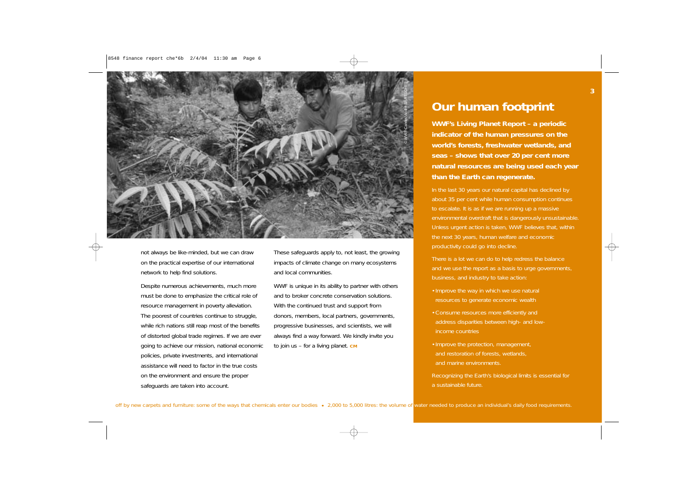

not always be like-minded, but we can draw on the practical expertise of our international network to help find solutions.

Despite numerous achievements, much more must be done to emphasize the critical role of resource management in poverty alleviation. The poorest of countries continue to struggle, while rich nations still reap most of the benefits of distorted global trade regimes. If we are ever going to achieve our mission, national economic policies, private investments, and international assistance will need to factor in the true costs on the environment and ensure the proper safeguards are taken into account.

These safeguards apply to, not least, the growing impacts of climate change on many ecosystems and local communities.

WWF is unique in its ability to partner with others and to broker concrete conservation solutions. With the continued trust and support from donors, members, local partners, governments, progressive businesses, and scientists, we will always find a way forward. We kindly invite you to join us – for a living planet. **CM**

**Our human footprint**<br>WWF's Living Planet Report – a periodic<br>indicator of the human pressures on the<br>world's forests, freshwater wetlands, and **seas – shows that over 20 per cent more natural resources are being used each year than the Earth can regenerate.** 

In the last 30 years our natural capital has declined by about 35 per cent while human consumption continues to escalate. It is as if we are running up a massive environmental overdraft that is dangerously unsustainable. Unless urgent action is taken, WWF believes that, within the next 30 years, human welfare and economic productivity could go into decline.

There is a lot we can do to help redress the balance and we use the report as a basis to urge governments, business, and industry to take action:

- Improve the way in which we use natural resources to generate economic wealth
- •Consume resources more efficiently and address disparities between high- and lowincome countries
- •Improve the protection, management, and restoration of forests, wetlands, and marine environments.
- Recognizing the Earth's biological limits is essential for a sustainable future.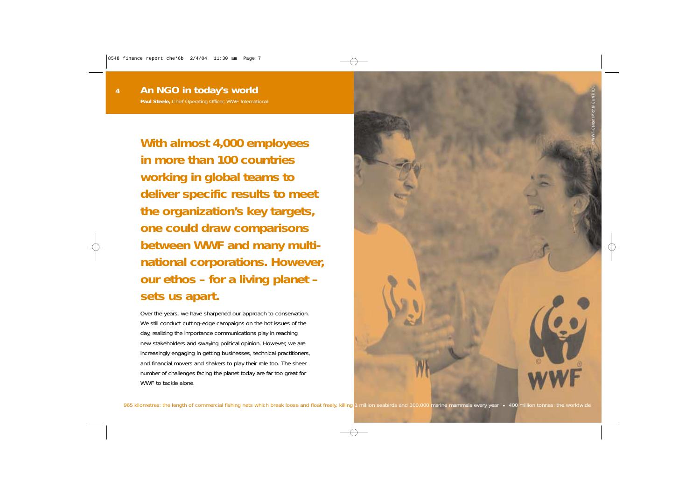**4**

**With almost 4,000 employees in more than 100 countries working in global teams to deliver specific results to meet the organization's key targets, one could draw comparisons between WWF and many multinational corporations. However, our ethos – for a living planet – sets us apart.**

Over the years, we have sharpened our approach to conservation. We still conduct cutting-edge campaigns on the hot issues of the day, realizing the importance communications play in reaching new stakeholders and swaying political opinion. However, we are increasingly engaging in getting businesses, technical practitioners, and financial movers and shakers to play their role too. The sheer number of challenges facing the planet today are far too great for WWF to tackle alone.

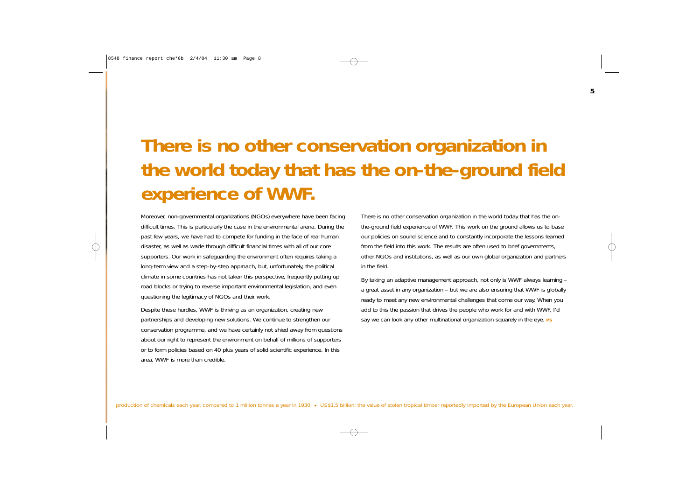## **There is no other conservation organization in the world today that has the on-the-ground field experience of WWF.**

Moreover, non-governmental organizations (NGOs) everywhere have been facing difficult times. This is particularly the case in the environmental arena. During the past few years, we have had to compete for funding in the face of real human disaster, as well as wade through difficult financial times with all of our core supporters. Our work in safeguarding the environment often requires taking a long-term view and a step-by-step approach, but, unfortunately, the political climate in some countries has not taken this perspective, frequently putting up road blocks or trying to reverse important environmental legislation, and even questioning the legitimacy of NGOs and their work.

Despite these hurdles, WWF is thriving as an organization, creating new partnerships and developing new solutions. We continue to strengthen our conservation programme, and we have certainly not shied away from questions about our right to represent the environment on behalf of millions of supporters or to form policies based on 40 plus years of solid scientific experience. In this area, WWF is more than credible.

There is no other conservation organization in the world today that has the onthe-ground field experience of WWF. This work on the ground allows us to base our policies on sound science and to constantly incorporate the lessons learned from the field into this work. The results are often used to brief governments, other NGOs and institutions, as well as our own global organization and partners in the field.

By taking an adaptive management approach, not only is WWF always learning – a great asset in any organization – but we are also ensuring that WWF is globally ready to meet any new environmental challenges that come our way. When you add to this the passion that drives the people who work for and with WWF, I'd say we can look any other multinational organization squarely in the eye. **PS**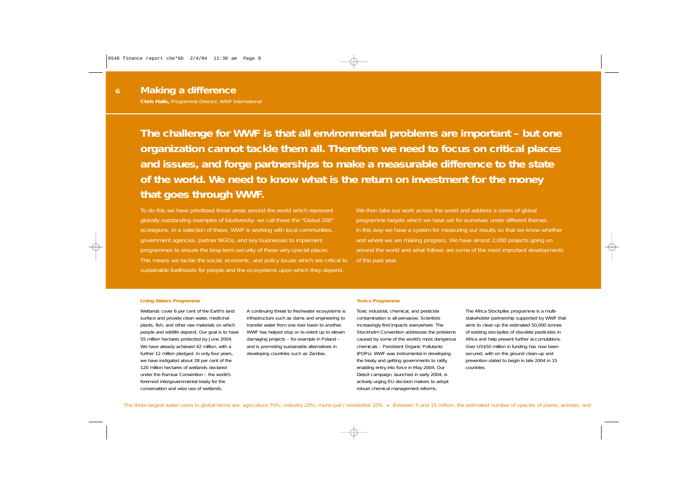**6**

**The challenge for WWF is that all environmental problems are important – but one organization cannot tackle them all. Therefore we need to focus on critical places and issues, and forge partnerships to make a measurable difference to the state of the world. We need to know what is the return on investment for the money that goes through WWF.**

To do this we have prioritized those areas around the world which represent globally outstanding examples of biodiversity: we call these the "Global 200" ecoregions. In a selection of these, WWF is working with local communities, government agencies, partner NGOs, and key businesses to implement programmes to ensure the long-term security of these very special places. This means we tackle the social, economic, and policy issues which are critical to sustainable livelihoods for people and the ecosystems upon which they depend.

We then take our work across the world and address a series of global programme targets which we have set for ourselves under different themes. In this way we have a system for measuring our results so that we know whether and where we are making progress. We have almost 2,000 projects going on around the world and what follows are some of the most important developments of the past year.

#### **Living Waters Programme**

Wetlands cover 6 per cent of the Earth's land surface and provide clean water, medicinal plants, fish, and other raw materials on which people and wildlife depend. Our goal is to have 55 million hectares protected by June 2004. We have already achieved 42 million, with a further 12 million pledged. In only four years, we have instigated about 28 per cent of the 120 million hectares of wetlands declared under the Ramsar Convention – the world's foremost intergovernmental treaty for the conservation and wise use of wetlands.

A continuing threat to freshwater ecosystems is infrastructure such as dams and engineering to transfer water from one river basin to another. WWF has helped stop or re-orient up to eleven damaging projects – for example in Poland – and is promoting sustainable alternatives in developing countries such as Zambia.

#### **Toxics Programme**

Toxic industrial, chemical, and pesticide contamination is all-pervasive. Scientists increasingly find impacts everywhere. The Stockholm Convention addresses the problems caused by some of the world's most dangerous chemicals – Persistent Organic Pollutants (POPs). WWF was instrumental in developing the treaty and getting governments to ratify, enabling entry into force in May 2004. Our DetoX campaign, launched in early 2004, is actively urging EU decision makers to adopt robust chemical management reforms.

The Africa Stockpiles programme is a multistakeholder partnership supported by WWF that aims to clean up the estimated 50,000 tonnes of existing stockpiles of obsolete pesticides in Africa and help prevent further accumulations. Over US\$50 million in funding has now been secured, with on the ground clean-up and prevention slated to begin in late 2004 in 15 countries.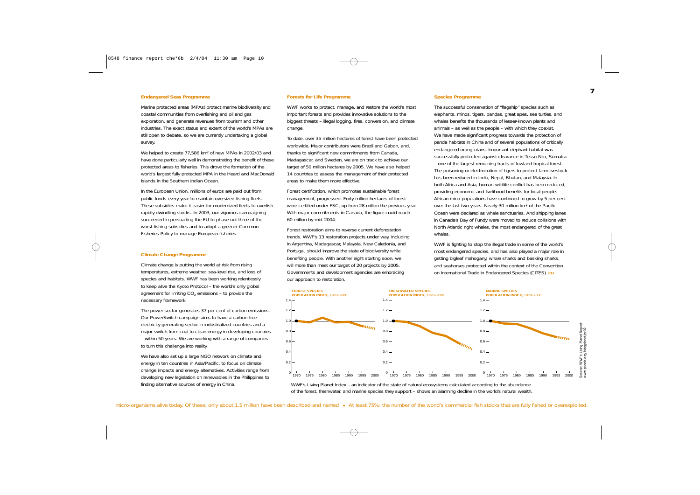#### **Endangered Seas Programme**

Marine protected areas (MPAs) protect marine biodiversity and coastal communities from overfishing and oil and gas exploration, and generate revenues from tourism and other industries. The exact status and extent of the world's MPAs are still open to debate, so we are currently undertaking a global survey.

We helped to create 77,586 km<sup>2</sup> of new MPAs in 2002/03 and have done particularly well in demonstrating the benefit of these protected areas to fisheries. This drove the formation of the world's largest fully protected MPA in the Heard and MacDonald Islands in the Southern Indian Ocean.

In the European Union, millions of euros are paid out from public funds every year to maintain oversized fishing fleets. These subsidies make it easier for modernized fleets to overfish rapidly dwindling stocks. In 2003, our vigorous campaigning succeeded in persuading the EU to phase out three of the worst fishing subsidies and to adopt a greener Common Fisheries Policy to manage European fisheries.

#### **Climate Change Programme**

Climate change is putting the world at risk from rising temperatures, extreme weather, sea-level rise, and loss of species and habitats. WWF has been working relentlessly to keep alive the Kyoto Protocol – the world's only global agreement for limiting  $CO<sub>2</sub>$  emissions – to provide the necessary framework.

The power sector generates 37 per cent of carbon emissions. Our PowerSwitch campaign aims to have a carbon-free electricity generating sector in industrialized countries and a major switch from coal to clean energy in developing countries – within 50 years. We are working with a range of companies to turn this challenge into reality.

We have also set up a large NGO network on climate and energy in ten countries in Asia/Pacific, to focus on climate change impacts and energy alternatives. Activities range from developing new legislation on renewables in the Philippines to finding alternative sources of energy in China.

#### **Forests for Life Programme**

WWF works to protect, manage, and restore the world's most important forests and provides innovative solutions to the biggest threats – illegal logging, fires, conversion, and climate change.

To date, over 35 million hectares of forest have been protected worldwide. Major contributors were Brazil and Gabon, and, thanks to significant new commitments from Canada, Madagascar, and Sweden, we are on track to achieve our target of 50 million hectares by 2005. We have also helped 14 countries to assess the management of their protected areas to make them more effective.

Forest certification, which promotes sustainable forest management, progressed. Forty million hectares of forest were certified under FSC, up from 28 million the previous year. With major commitments in Canada, the figure could reach 60 million by mid-2004.

Forest restoration aims to reverse current deforestation trends. WWF's 13 restoration projects under way, including in Argentina, Madagascar, Malaysia, New Caledonia, and Portugal, should improve the state of biodiversity while benefiting people. With another eight starting soon, we will more than meet our target of 20 projects by 2005. Governments and development agencies are embracing our approach to restoration.

#### **Species Programme**

The successful conservation of "flagship" species such as elephants, rhinos, tigers, pandas, great apes, sea turtles, and whales benefits the thousands of lesser-known plants and animals – as well as the people – with which they coexist. We have made significant progress towards the protection of panda habitats in China and of several populations of critically endangered orang-utans. Important elephant habitat was successfully protected against clearance in Tesso Nilo, Sumatra – one of the largest remaining tracts of lowland tropical forest. The poisoning or electrocution of tigers to protect farm livestock has been reduced in India, Nepal, Bhutan, and Malaysia. In both Africa and Asia, human-wildlife conflict has been reduced, providing economic and livelihood benefits for local people. African rhino populations have continued to grow by 5 per cent over the last two years. Nearly 30 million  $km<sup>2</sup>$  of the Pacific Ocean were declared as whale sanctuaries. And shipping lanes in Canada's Bay of Fundy were moved to reduce collisions with North Atlantic right whales, the most endangered of the great whales.

WWF is fighting to stop the illegal trade in some of the world's most endangered species, and has also played a major role in getting bigleaf mahogany, whale sharks and basking sharks, and seahorses protected within the context of the Convention on International Trade in Endangered Species (CITES). **CH**



WWF's Living Planet Index – an indicator of the state of natural ecosystems calculated according to the abundance of the forest, freshwater, and marine species they support – shows an alarming decline in the world's natural wealth.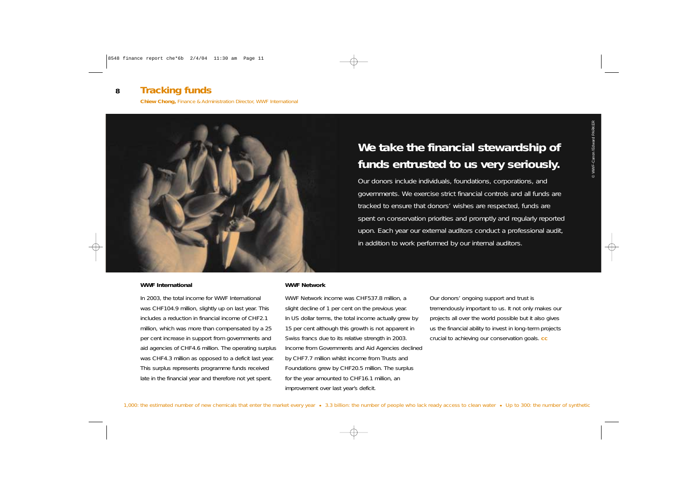#### *Tracking funds* **8**

**Chiew Chong,** Finance & Administration Director, WWF International



#### **WWF International**

In 2003, the total income for WWF International was CHF104.9 million, slightly up on last year. This includes a reduction in financial income of CHF2.1 million, which was more than compensated by a 25 per cent increase in support from governments and aid agencies of CHF4.6 million. The operating surplus was CHF4.3 million as opposed to a deficit last year. This surplus represents programme funds received late in the financial year and therefore not yet spent.

## **We take the financial stewardship of funds entrusted to us very seriously.**

Our donors include individuals, foundations, corporations, and governments. We exercise strict financial controls and all funds are tracked to ensure that donors' wishes are respected, funds are spent on conservation priorities and promptly and regularly reported upon. Each year our external auditors conduct a professional audit, in addition to work performed by our internal auditors.

#### **WWF Network**

WWF Network income was CHF537.8 million, a slight decline of 1 per cent on the previous year. In US dollar terms, the total income actually grew by 15 per cent although this growth is not apparent in Swiss francs due to its relative strength in 2003. Income from Governments and Aid Agencies declined by CHF7.7 million whilst income from Trusts and Foundations grew by CHF20.5 million. The surplus for the year amounted to CHF16.1 million, an improvement over last year's deficit.

Our donors' ongoing support and trust is tremendously important to us. It not only makes our projects all over the world possible but it also gives us the financial ability to invest in long-term projects crucial to achieving our conservation goals. **CC**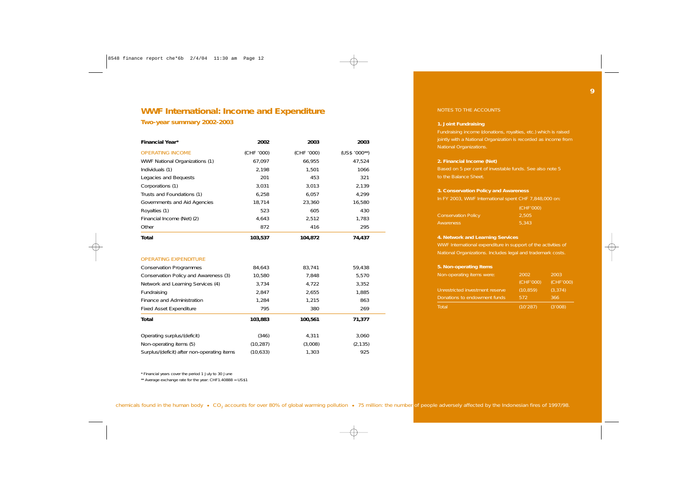## **WWF International: Income and Expenditure**

**Two-year summary 2002-2003**

| Financial Year*                             | 2002       | 2003       | 2003          |
|---------------------------------------------|------------|------------|---------------|
| <b>OPERATING INCOME</b>                     | (CHF '000) | (CHF '000) | $(US$'000**)$ |
| WWF National Organizations (1)              | 67,097     | 66,955     | 47,524        |
| Individuals (1)                             | 2,198      | 1,501      | 1066          |
| Legacies and Bequests                       | 201        | 453        | 321           |
| Corporations (1)                            | 3,031      | 3,013      | 2,139         |
| Trusts and Foundations (1)                  | 6,258      | 6,057      | 4,299         |
| Governments and Aid Agencies                | 18,714     | 23,360     | 16,580        |
| Royalties (1)                               | 523        | 605        | 430           |
| Financial Income (Net) (2)                  | 4,643      | 2,512      | 1,783         |
| Other                                       | 872        | 416        | 295           |
| <b>Total</b>                                | 103,537    | 104,872    | 74,437        |
| <b>OPERATING EXPENDITURE</b>                |            |            |               |
| <b>Conservation Programmes</b>              | 84,643     | 83,741     | 59,438        |
| Conservation Policy and Awareness (3)       | 10,580     | 7,848      | 5,570         |
| Network and Learning Services (4)           | 3,734      | 4,722      | 3,352         |
| Fundraising                                 | 2,847      | 2,655      | 1,885         |
| Finance and Administration                  | 1,284      | 1,215      | 863           |
| <b>Fixed Asset Expenditure</b>              | 795        | 380        | 269           |
| <b>Total</b>                                | 103,883    | 100,561    | 71,377        |
| Operating surplus/(deficit)                 | (346)      | 4,311      | 3,060         |
| Non-operating items (5)                     | (10, 287)  | (3,008)    | (2, 135)      |
| Surplus/(deficit) after non-operating items | (10, 633)  | 1,303      | 925           |

\* Financial years cover the period 1 July to 30 June

\*\* Average exchange rate for the year: CHF1.40888 = US\$1

#### NOTES TO THE ACCOUNTS

#### **1. Joint Fundraising**

Fundraising income (donations, royalties, etc.) which is raised jointly with a National Organization is recorded as income from National Organizations.

#### **2. Financial Income (Net)**

to the Balance Sheet.

#### **3. Conservation Policy and Awareness**

In FY 2003, WWF International spent CHF 7,848,000 on:

|                            | (CHF'000) |
|----------------------------|-----------|
| <b>Conservation Policy</b> | 2.505     |
| Awareness                  | 5.343     |

#### **4. Network and Learning Services**

WWF International expenditure in support of the activities of National Organizations. Includes legal and trademark costs.

#### **5. Non-operating Items**

| Non-operating items were:       | 2002      | 2003      |
|---------------------------------|-----------|-----------|
|                                 | (CHF'000) | (CHF'000) |
| Unrestricted investment reserve | (10, 859) | (3, 374)  |
| Donations to endowment funds    | 572       | 366       |
| Total                           | (10'287)  | (3'008)   |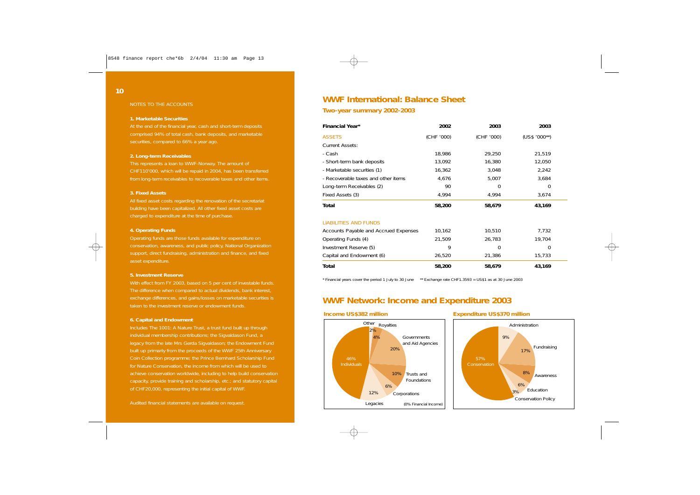#### NOTES TO THE ACCOUNTS

#### **1. Marketable Securities**

At the end of the financial year, cash and short-term deposits comprised 94% of total cash, bank deposits, and marketable securities, compared to 66% a year ago.

#### **2. Long-term Receivables**

This represents a loan to WWF-Norway. The amount of CHF110'000, which will be repaid in 2004, has been transferred from long-term receivables to recoverable taxes and other items.

#### **3. Fixed Assets**

All fixed asset costs regarding the renovation of the secretariat building have been capitalized. All other fixed asset costs are charged to expenditure at the time of purchase.

#### **4. Operating Funds**

Operating funds are those funds available for expenditure on conservation, awareness, and public policy, National Organization support, direct fundraising, administration and finance, and fixed asset expenditure.

#### **5. Investment Reserve**

With effect from FY 2003, based on 5 per cent of investable funds. The difference when compared to actual dividends, bank interest, exchange differences, and gains/losses on marketable securities is taken to the investment reserve or endowment funds.

#### **6. Capital and Endowment**

individual membership contributions; the Sigvaldason Fund, a legacy from the late Mrs Gerda Sigvaldason; the Endowment Fund built up primarily from the proceeds of the WWF 25th Anniversary Coin Collection programme; the Prince Bernhard Scholarship Fund for Nature Conservation, the income from which will be used to achieve conservation worldwide, including to help build conservation capacity, provide training and scholarship, etc.; and statutory capital of CHF20,000, representing the initial capital of WWF.

## **WWF International: Balance Sheet**

#### **Two-year summary 2002-2003**

| <b>Financial Year*</b>                | 2002       | 2003       | 2003          |
|---------------------------------------|------------|------------|---------------|
| <b>ASSETS</b>                         | (CHF '000) | (CHF '000) | $(US$'000**)$ |
| <b>Current Assets:</b>                |            |            |               |
| - Cash                                | 18,986     | 29,250     | 21,519        |
| - Short-term bank deposits            | 13,092     | 16,380     | 12,050        |
| - Marketable securities (1)           | 16,362     | 3,048      | 2,242         |
| - Recoverable taxes and other items   | 4,676      | 5,007      | 3,684         |
| Long-term Receivables (2)             | 90         | 0          | 0             |
| Fixed Assets (3)                      | 4,994      | 4,994      | 3,674         |
| Total                                 | 58,200     | 58,679     | 43,169        |
| <b>LIABILITIES AND FUNDS</b>          |            |            |               |
| Accounts Payable and Accrued Expenses | 10,162     | 10,510     | 7,732         |
| Operating Funds (4)                   | 21,509     | 26,783     | 19,704        |
| Investment Reserve (5)                | 9          | $\Omega$   | 0             |
| Capital and Endowment (6)             | 26,520     | 21,386     | 15,733        |
| Total                                 | 58,200     | 58,679     | 43,169        |

\* Financial years cover the period 1 July to 30 June \*\* Exchange rate CHF1.3593 = US\$1 as at 30 June 2003

### **WWF Network: Income and Expenditure 2003**

#### **Income US\$382 million**



#### **Expenditure US\$370 million**

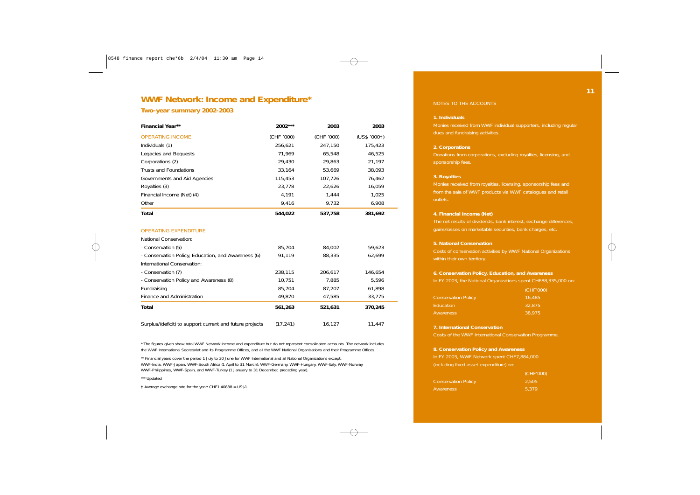### **WWF Network: Income and Expenditure\***

#### **Two-year summary 2002-2003**

| <b>Financial Year**</b>                                  | 2002***    | 2003       | 2003         |  |
|----------------------------------------------------------|------------|------------|--------------|--|
| <b>OPERATING INCOME</b>                                  | (CHF '000) | (CHF '000) | (US\$ '0001) |  |
| Individuals (1)                                          | 256,621    | 247,150    | 175,423      |  |
| Legacies and Bequests                                    | 71,969     | 65,548     | 46,525       |  |
| Corporations (2)                                         | 29,430     | 29,863     | 21,197       |  |
| Trusts and Foundations                                   | 33,164     | 53,669     | 38,093       |  |
| Governments and Aid Agencies                             | 115,453    | 107,726    | 76,462       |  |
| Royalties (3)                                            | 23,778     | 22,626     | 16,059       |  |
| Financial Income (Net) (4)                               | 4,191      | 1,444      | 1,025        |  |
| Other                                                    | 9,416      | 9,732      | 6,908        |  |
| Total                                                    | 544,022    | 537,758    | 381,692      |  |
| <b>OPERATING EXPENDITURE</b>                             |            |            |              |  |
| National Conservation:                                   |            |            |              |  |
| - Conservation (5)                                       | 85,704     | 84,002     | 59,623       |  |
| - Conservation Policy, Education, and Awareness (6)      | 91,119     | 88,335     | 62,699       |  |
| International Conservation:                              |            |            |              |  |
| - Conservation (7)                                       | 238,115    | 206,617    | 146,654      |  |
| - Conservation Policy and Awareness (8)                  | 10,751     | 7,885      | 5,596        |  |
| Fundraising                                              | 85,704     | 87,207     | 61,898       |  |
| Finance and Administration                               | 49,870     | 47,585     | 33,775       |  |
| <b>Total</b>                                             | 561,263    | 521,631    | 370,245      |  |
| Surplus/(deficit) to support current and future projects | (17, 241)  | 16,127     | 11,447       |  |

\* The figures given show total WWF Network income and expenditure but do not represent consolidated accounts. The network includes the WWF International Secretariat and its Programme Offices, and all the WWF National Organizations and their Programme Offices.

\*\* Financial years cover the period 1 July to 30 June for WWF International and all National Organizations except: WWF-India, WWF-Japan, WWF-South Africa (1 April to 31 March); WWF-Germany, WWF-Hungary, WWF-Italy, WWF-Norway, WWF-Philippines, WWF-Spain, and WWF-Turkey (1 January to 31 December, preceding year).

\*\*\* Updated

† Average exchange rate for the year: CHF1.40888 = US\$1

#### NOTES TO THE ACCOUNTS

#### **1. Individuals**

Monies received from WWF individual supporters, including regular

#### **2. Corporations**

Donations from corporations, excluding royalties, licensing, and

#### **3. Royalties**

Monies received from royalties, licensing, sponsorship fees and from the sale of WWF products via WWF catalogues and retail outlets.

#### **4. Financial Income (Net)**

The net results of dividends, bank interest, exchange differences, gains/losses on marketable securities, bank charges, etc.

#### **5. National Conservation**

Costs of conservation activities by WWF National Organizations

#### **6. Conservation Policy, Education, and Awareness**

In FY 2003, the National Organizations spent CHF88,335,000 on:

|                            | (CHF'000) |
|----------------------------|-----------|
| <b>Conservation Policy</b> | 16.485    |
| <b>Education</b>           | 32,875    |
| Awareness                  | 38.975    |

#### **7. International Conservation**

Costs of the WWF International Conservation Programme.

#### **8. Conservation Policy and Awareness**

In FY 2003, WWF Network spent CHF7,884,000 (including fixed asset expenditure) on:

|                            | (CHF'000) |
|----------------------------|-----------|
| <b>Conservation Policy</b> | 2.505     |
| Awareness                  | 5.379     |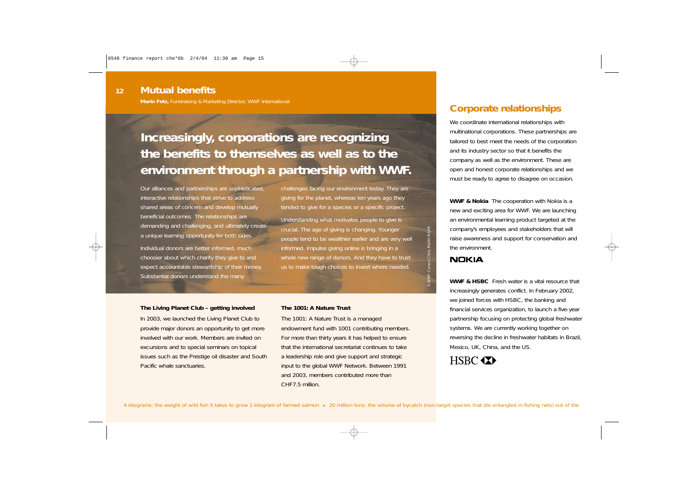**Mario Fetz,** Fundraising & Marketing Director, WWF International

## **Increasingly, corporations are recognizing the benefits to themselves as well as to the environment through a partnership with WWF.**

Our alliances and partnerships are sophisticated, interactive relationships that strive to address shared areas of concern and develop mutually beneficial outcomes. The relationships are demanding and challenging, and ultimately create a unique learning opportunity for both sides.

Individual donors are better informed, much choosier about which charity they give to and expect accountable stewardship of their money. Substantial donors understand the many

challenges facing our environment today. They are giving for the planet, whereas ten years ago they tended to give for a species or a specific project.

Understanding what motivates people to give is crucial. The age of giving is changing. Younger people tend to be wealthier earlier and are very well informed. Impulse giving online is bringing in a whole new range of donors. And they have to trust us to make tough choices to invest where needed.

#### **The Living Planet Club – getting involved**

In 2003, we launched the Living Planet Club to provide major donors an opportunity to get more involved with our work. Members are invited on excursions and to special seminars on topical issues such as the Prestige oil disaster and South Pacific whale sanctuaries.

#### **The 1001: A Nature Trust**

The 1001: A Nature Trust is a managed endowment fund with 1001 contributing members. For more than thirty years it has helped to ensure that the international secretariat continues to take a leadership role and give support and strategic input to the global WWF Network. Between 1991 and 2003, members contributed more than CHF7.5 million.

## **Corporate relationships**

We coordinate international relationships with multinational corporations. These partnerships are tailored to best meet the needs of the corporation and its industry sector so that it benefits the company as well as the environment. These are open and honest corporate relationships and we must be ready to agree to disagree on occasion.

**WWF & Nokia** The cooperation with Nokia is a new and exciting area for WWF. We are launching an environmental learning product targeted at the company's employees and stakeholders that will raise awareness and support for conservation and the environment.

#### **NOKIA**

© WWF-Canon/Chris Martin BAHR

**WWF & HSBC** Fresh water is a vital resource that increasingly generates conflict. In February 2002, we joined forces with HSBC, the banking and financial services organization, to launch a five-year partnership focusing on protecting global freshwater systems. We are currently working together on reversing the decline in freshwater habitats in Brazil, Mexico, UK, China, and the US.

## HSBC **XX**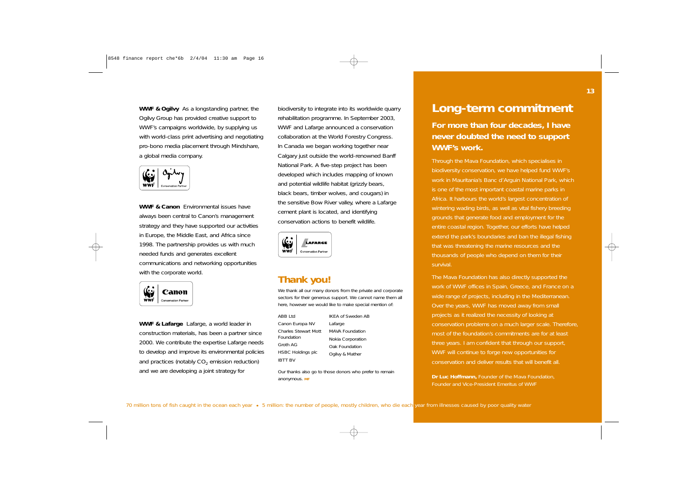**WWF & Ogilvy** As a longstanding partner, the Ogilvy Group has provided creative support to WWF's campaigns worldwide, by supplying us with world-class print advertising and negotiating pro-bono media placement through Mindshare, a global media company.



**WWF & Canon** Environmental issues have always been central to Canon's management strategy and they have supported our activities in Europe, the Middle East, and Africa since 1998. The partnership provides us with much needed funds and generates excellent communications and networking opportunities with the corporate world.



**WWF & Lafarge** Lafarge, a world leader in construction materials, has been a partner since 2000. We contribute the expertise Lafarge needs to develop and improve its environmental policies and practices (notably  $CO<sub>2</sub>$  emission reduction) and we are developing a joint strategy for

biodiversity to integrate into its worldwide quarry rehabilitation programme. In September 2003, WWF and Lafarge announced a conservation collaboration at the World Forestry Congress. In Canada we began working together near Calgary just outside the world-renowned Banff National Park. A five-step project has been developed which includes mapping of known and potential wildlife habitat (grizzly bears, black bears, timber wolves, and cougars) in the sensitive Bow River valley, where a Lafarge cement plant is located, and identifying conservation actions to benefit wildlife.



## **Thank you!**

We thank all our many donors from the private and corporate sectors for their generous support. We cannot name them all here, however we would like to make special mention of:

ABB Ltd Canon Europa NV Charles Stewart Mott Foundation Groth AG HSBC Holdings plc IBTT BV

IKEA of Sweden AB Lafarge MAVA Foundation Nokia Corporation Oak Foundation Ogilvy & Mather

Our thanks also go to those donors who prefer to remain anonymous. **MF**

## *Long-term commitment*

**For more than four decades, I have never doubted the need to support WWF's work.**

Through the Mava Foundation, which specialises in biodiversity conservation, we have helped fund WWF's work in Mauritania's Banc d'Arguin National Park, which is one of the most important coastal marine parks in Africa. It harbours the world's largest concentration of wintering wading birds, as well as vital fishery breeding grounds that generate food and employment for the entire coastal region. Together, our efforts have helped extend the park's boundaries and ban the illegal fishing that was threatening the marine resources and the thousands of people who depend on them for their survival.

The Mava Foundation has also directly supported the work of WWF offices in Spain, Greece, and France on a wide range of projects, including in the Mediterranean. Over the years, WWF has moved away from small projects as it realized the necessity of looking at conservation problems on a much larger scale. Therefore, most of the foundation's commitments are for at least three years. I am confident that through our support, WWF will continue to forge new opportunities for conservation and deliver results that will benefit all.

*Dr Luc Hoffmann, Founder of the Mava Foundation, Founder and Vice-President Emeritus of WWF*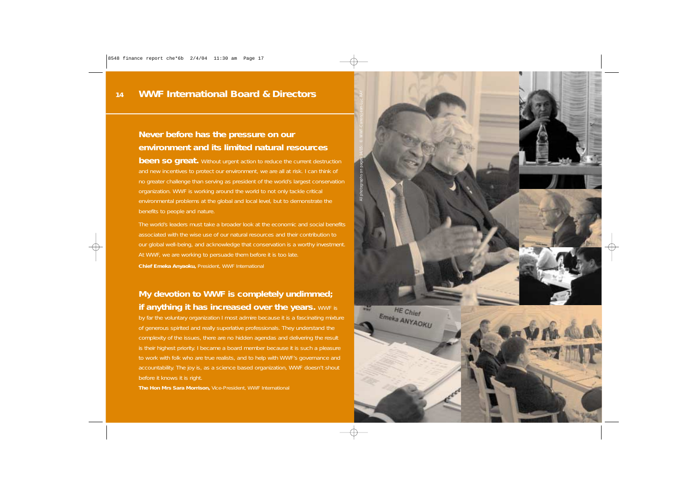## **Never before has the pressure on our environment and its limited natural resources**

**been so great.** Without urgent action to reduce the current destruction and new incentives to protect our environment, we are all at risk. I can think of no greater challenge than serving as president of the world's largest conservation organization. WWF is working around the world to not only tackle critical environmental problems at the global and local level, but to demonstrate the benefits to people and nature.

The world's leaders must take a broader look at the economic and social benefits associated with the wise use of our natural resources and their contribution to our global well-being, and acknowledge that conservation is a worthy investment. At WWF, we are working to persuade them before it is too late. *Chief Emeka Anyaoku, President, WWF International*

## **My devotion to WWF is completely undimmed; if anything it has increased over the years.** WWF is

by far the voluntary organization I most admire because it is a fascinating mixture of generous spirited and really superlative professionals. They understand the complexity of the issues, there are no hidden agendas and delivering the result is their highest priority. I became a board member because it is such a pleasure to work with folk who are true realists, and to help with WWF's governance and accountability. The joy is, as a science based organization, WWF doesn't shout before it knows it is right.

*The Hon Mrs Sara Morrison, Vice-President, WWF International*

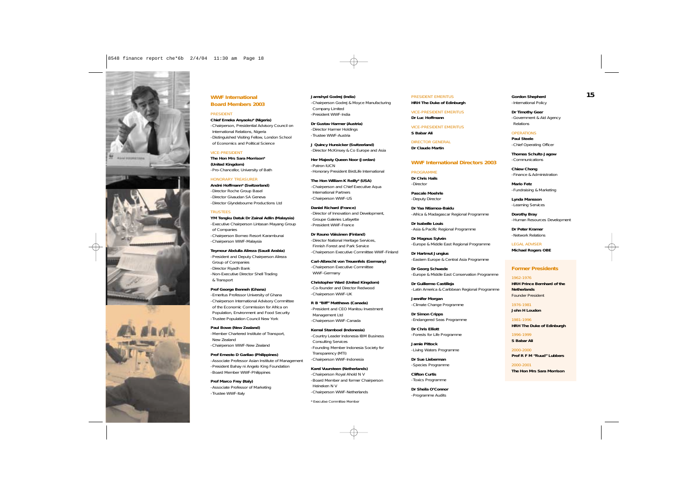

#### **WWF International Board Members 2003**

#### PRESIDENT

**Chief Emeka Anyaoku\* (Nigeria)** -Chairperson, Presidential Advisory Council on International Relations, Nigeria -Distinguished Visiting Fellow, London School of Economics and Political Science

#### VICE-PRESIDENT

**The Hon Mrs Sara Morrison\* (United Kingdom)** -Pro-Chancellor, University of Bath

#### HONORARY TREASURER

**André Hoffmann\* (Switzerland)** -Director Roche Group Basel -Director Givaudan SA Geneva -Director Glyndebourne Productions Ltd

#### **TRUSTEES**

**YM Tengku Datuk Dr Zainal Adlin (Malaysia)** -Executive Chairperson Lintasan Mayang Group of Companies -Chairperson Borneo Resort Karambunai -Chairperson WWF-Malaysia

#### **Teymour Abdulla Alireza (Saudi Arabia)**

-President and Deputy Chairperson Alireza Group of Companies -Director Riyadh Bank -Non-Executive Director Shell Trading & Transport

#### **Prof George Benneh (Ghana)**

-Emeritus Professor University of Ghana -Chairperson International Advisory Committee of the Economic Commission for Africa on Population, Environment and Food Security -Trustee Population Council New York

**Paul Bowe (New Zealand)** -Member Chartered Institute of Transport, New Zealand -Chairperson WWF-New Zealand

**Prof Ernesto D Garilao (Philippines)** -Associate Professor Asian Institute of Management -President Bahay ni Angelo King Foundation -Board Member WWF-Philippines

**Prof Marco Frey (Italy)** -Associate Professor of Marketing -Trustee WWF-Italy

**Jamshyd Godrej (India)** -Chairperson Godrej & Moyce Manufacturing Company Limited -President WWF-India

**Dr Gustav Harmer (Austria)** -Director Harmer Holdings -Trustee WWF-Austria

**J Quincy Hunsicker (Switzerland)** -Director McKinsey & Co Europe and Asia

**Her Majesty Queen Noor (Jordan)** -Patron IUCN -Honorary President BirdLife International

**The Hon William K Reilly\* (USA)** -Chairperson and Chief Executive Aqua International Partners -Chairperson WWF-US

**Daniel Richard (France)** -Director of Innovation and Development, Groupe Galeries Lafayette -President WWF-France

**Dr Rauno Väisänen (Finland)** -Director National Heritage Services, Finnish Forest and Park Service -Chairperson Executive Committee WWF-Finland

**Carl-Albrecht von Treuenfels (Germany)** -Chairperson Executive Committee WWF-Germany

**Christopher Ward (United Kingdom)** -Co-founder and Director Redwood -Chairperson WWF-UK

**R B "Biff" Matthews (Canada)** -President and CEO Manitou Investment Management Ltd -Chairperson WWF-Canada

**Kemal Stamboel (Indonesia)** -Country Leader Indonesia IBM Business Consulting Services -Founding Member Indonesia Society for Transparency (MTI) -Chairperson WWF-Indonesia

**Karel Vuursteen (Netherlands)** -Chairperson Royal Ahold N V -Board Member and former Chairperson Heineken N V -Chairperson WWF-Netherlands

*\* Executive Committee Member*

PRESIDENT EMERITUS **HRH The Duke of Edinburgh**

VICE-PRESIDENT EMERITUS **Dr Luc Hoffmann**

VICE-PRESIDENT EMERITUS **S Babar Ali**

DIRECTOR GENERAL **Dr Claude Martin**

#### **WWF International Directors 2003**

PROGRAMME **Dr Chris Hails** -Director

*Pascale Moehrle -Deputy Director*

*Dr Yaa Ntiamoa-Baidu -Africa & Madagascar Regional Programme*

*Dr Isabelle Louis -Asia & Pacific Regional Programme*

*Dr Magnus Sylvén -Europe & Middle East Regional Programme*

*Dr Hartmut Jungius -Eastern Europe & Central Asia Programme*

*Dr Georg Schwede -Europe & Middle East Conservation Programme*

*Dr Guillermo Castilleja -Latin America & Caribbean Regional Programme*

*Jennifer Morgan -Climate Change Programme*

*Dr Simon Cripps -Endangered Seas Programme*

*Dr Chris Elliott -Forests for Life Programme*

*Jamie Pittock -Living Waters Programme*

*Dr Sue Lieberman -Species Programme*

*Clifton Curtis -Toxics Programme*

*Dr Sheila O'Connor -Programme Audits*

*Gordon Shepherd -International Policy*

*Dr Timothy Geer -Government & Aid Agency Relations*

#### **OPERATIONS**

**Paul Steele** -Chief Operating Officer

*Thomas Schultz-Jagow -Communications*

*Chiew Chong -Finance & Administration*

*Mario Fetz -Fundraising & Marketing*

*Lynda Mansson -Learning Services*

*Dorothy Bray -Human Resources Development*

*Dr Peter Kramer -Network Relations*

LEGAL ADVISER **Michael Rogers OBE**

#### **Former Presidents**

1962-1976 **HRH Prince Bernhard of the Netherlands** Founder President

1976-1981 **John H Loudon**

1981-1996 **HRH The Duke of Edinburgh**

1996-1999 **S Babar Ali**

2000-2000 **Prof R F M "Ruud" Lubbers**

2000-2001 **The Hon Mrs Sara Morrison**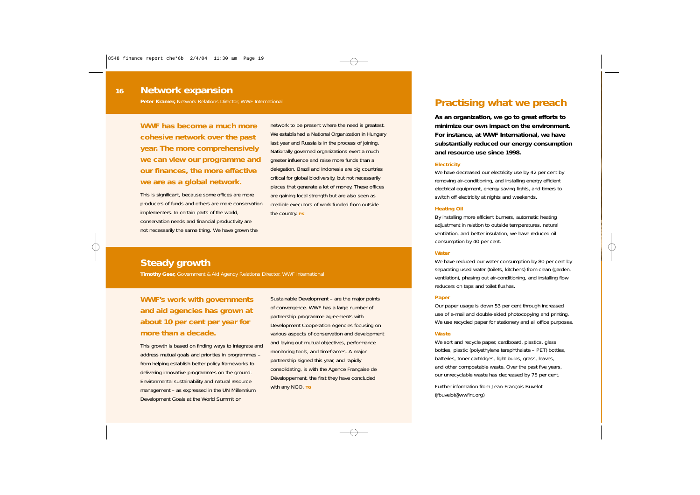#### *Network expansion* **16**

**Peter Kramer,** Network Relations Director, WWF International

**WWF has become a much more cohesive network over the past year. The more comprehensively we can view our programme and our finances, the more effective we are as a global network.**

This is significant, because some offices are more producers of funds and others are more conservation implementers. In certain parts of the world, conservation needs and financial productivity are not necessarily the same thing. We have grown the

network to be present where the need is greatest. We established a National Organization in Hungary last year and Russia is in the process of joining. Nationally governed organizations exert a much greater influence and raise more funds than a delegation. Brazil and Indonesia are big countries critical for global biodiversity, but not necessarily places that generate a lot of money. These offices are gaining local strength but are also seen as credible executors of work funded from outside the country. **PK**

## *Steady growth*

**Timothy Geer,** Government & Aid Agency Relations Director, WWF International

## **WWF's work with governments and aid agencies has grown at about 10 per cent per year for more than a decade.**

This growth is based on finding ways to integrate and address mutual goals and priorities in programmes – from helping establish better policy frameworks to delivering innovative programmes on the ground. Environmental sustainability and natural resource management – as expressed in the UN Millennium Development Goals at the World Summit on

Sustainable Development – are the major points of convergence. WWF has a large number of partnership programme agreements with Development Cooperation Agencies focusing on various aspects of conservation and development and laying out mutual objectives, performance monitoring tools, and timeframes. A major partnership signed this year, and rapidly consolidating, is with the Agence Française de Développement, the first they have concluded with any NGO. TG

## *Practising what we preach*

**As an organization, we go to great efforts to minimize our own impact on the environment. For instance, at WWF International, we have substantially reduced our energy consumption and resource use since 1998.**

#### **Electricity**

We have decreased our electricity use by 42 per cent by removing air-conditioning, and installing energy efficient electrical equipment, energy saving lights, and timers to switch off electricity at nights and weekends.

#### **Heating Oil**

By installing more efficient burners, automatic heating adjustment in relation to outside temperatures, natural ventilation, and better insulation, we have reduced oil consumption by 40 per cent.

#### **Water**

We have reduced our water consumption by 80 per cent by separating used water (toilets, kitchens) from clean (garden, ventilation), phasing out air-conditioning, and installing flow reducers on taps and toilet flushes.

#### **Paper**

Our paper usage is down 53 per cent through increased use of e-mail and double-sided photocopying and printing. We use recycled paper for stationery and all office purposes.

#### **Waste**

We sort and recycle paper, cardboard, plastics, glass bottles, plastic (polyethylene terephthalate – PET) bottles, batteries, toner cartridges, light bulbs, grass, leaves, and other compostable waste. Over the past five years, our unrecyclable waste has decreased by 75 per cent.

*Further information from Jean-François Buvelot (jfbuvelot@wwfint.org)*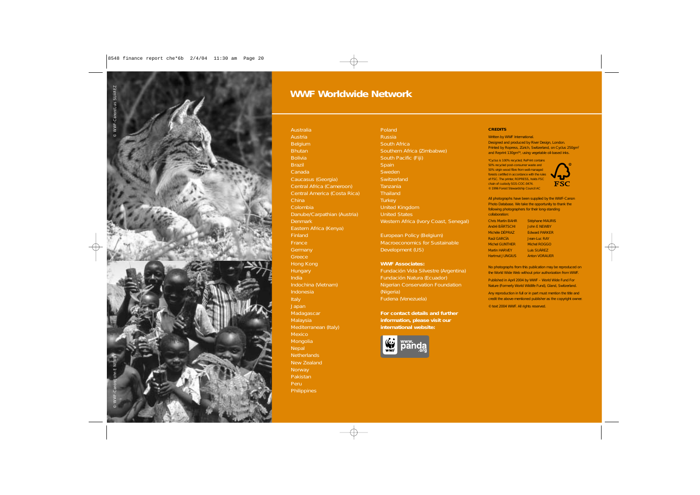

## *WWF Worldwide Network*

Australia Austria Belgium **Bhutan** Bolivia **Brazil** Canada Caucasus (Georgia) Central Africa (Cameroon) Central America (Costa Rica) China Colombia Danube/Carpathian (Austria) Denmark Eastern Africa (Kenya) **Finland** France **Germany** Greece Hong Kong **Hungary** India Indochina (Vietnam) Indonesia Italy **Japan Madagascar** Malaysia Mediterranean (Italy) Mexico **Mongolia Nepal** Netherlands New Zealand **Norway** Pakistan Peru **Philippines** 

Poland Russia South Africa Southern Africa (Zimbabwe) South Pacific (Fiji) **Spain** Sweden **Switzerland** Tanzania **Thailand Turkey** United Kingdom United States Western Africa (Ivory Coast, Senegal)

European Policy (Belgium) Macroeconomics for Sustainable Development (US)

#### **WWF Associates:**

Fundación Vida Silvestre (Argentina) Fundación Natura (Ecuador) Nigerian Conservation Foundation (Nigeria) Fudena (Venezuela)

**For contact details and further information, please visit our international website:**



#### **CREDITS**

Written by WWF International. Designed and produced by River Design, London. Printed by Ropress, Zürich, Switzerland, on Cyclus 250gm2 and Reprint 130gm<sup>2\*</sup>, using vegetable oil-based inks.

\*Cyclus is 100% recycled; RePrint contains 50% recycled post-consumer waste and 50% virgin wood fibre from well-managed forests certified in accordance with the rules of FSC. The printer, ROPRESS, holds FSC chain of custody SGS-COC-0474. © 1996 Forest Stewardship Council AC



All photographs have been supplied by the WWF-Canon Photo Database. We take the opportunity to thank the following photographers for their long-standing collaboration:

| Chris Martin BAHR    | Stéphane MAURIS      |
|----------------------|----------------------|
| André BÄRTSCHI       | <b>John E NEWBY</b>  |
| Michèle DÉPRAZ       | <b>Edward PARKER</b> |
| Raúl GARCÍA          | Jean-Luc RAY         |
| Michel GUNTHER       | <b>Michel ROGGO</b>  |
| <b>Martin HARVEY</b> | Luis SUÁREZ          |
| Hartmut JUNGIUS      | <b>Anton VORAUER</b> |

No photographs from this publication may be reproduced on the World Wide Web without prior authorization from WWF.

Published in April 2004 by WWF – World Wide Fund For Nature (Formerly World Wildlife Fund), Gland, Switzerland.

Any reproduction in full or in part must mention the title and credit the above-mentioned publisher as the copyright owner.

© text 2004 WWF. All rights reserved.